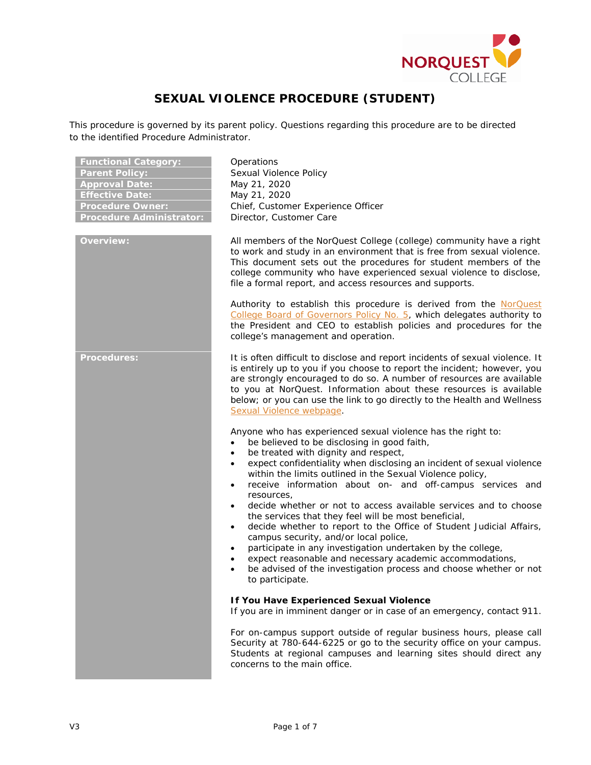

# **SEXUAL VIOLENCE PROCEDURE (STUDENT)**

This procedure is governed by its parent policy. Questions regarding this procedure are to be directed to the identified Procedure Administrator.

| <b>Functional Category:</b><br><b>Parent Policy:</b><br><b>Approval Date:</b><br><b>Effective Date:</b><br><b>Procedure Owner:</b><br><b>Procedure Administrator:</b> | Operations<br>Sexual Violence Policy<br>May 21, 2020<br>May 21, 2020<br>Chief, Customer Experience Officer<br>Director, Customer Care                                                                                                                                                                                                                                                                                                                                                                                                                                                                                                                                                                                                                                                                                                                                                                                                       |
|-----------------------------------------------------------------------------------------------------------------------------------------------------------------------|---------------------------------------------------------------------------------------------------------------------------------------------------------------------------------------------------------------------------------------------------------------------------------------------------------------------------------------------------------------------------------------------------------------------------------------------------------------------------------------------------------------------------------------------------------------------------------------------------------------------------------------------------------------------------------------------------------------------------------------------------------------------------------------------------------------------------------------------------------------------------------------------------------------------------------------------|
| <b>Overview:</b>                                                                                                                                                      | All members of the NorQuest College (college) community have a right<br>to work and study in an environment that is free from sexual violence.<br>This document sets out the procedures for student members of the<br>college community who have experienced sexual violence to disclose,<br>file a formal report, and access resources and supports.                                                                                                                                                                                                                                                                                                                                                                                                                                                                                                                                                                                       |
|                                                                                                                                                                       | Authority to establish this procedure is derived from the NorQuest<br>College Board of Governors Policy No. 5, which delegates authority to<br>the President and CEO to establish policies and procedures for the<br>college's management and operation.                                                                                                                                                                                                                                                                                                                                                                                                                                                                                                                                                                                                                                                                                    |
| <b>Procedures:</b>                                                                                                                                                    | It is often difficult to disclose and report incidents of sexual violence. It<br>is entirely up to you if you choose to report the incident; however, you<br>are strongly encouraged to do so. A number of resources are available<br>to you at NorQuest. Information about these resources is available<br>below; or you can use the link to go directly to the Health and Wellness<br>Sexual Violence webpage.                                                                                                                                                                                                                                                                                                                                                                                                                                                                                                                            |
|                                                                                                                                                                       | Anyone who has experienced sexual violence has the right to:<br>be believed to be disclosing in good faith,<br>$\bullet$<br>be treated with dignity and respect,<br>$\bullet$<br>expect confidentiality when disclosing an incident of sexual violence<br>$\bullet$<br>within the limits outlined in the Sexual Violence policy,<br>receive information about on- and off-campus services and<br>$\bullet$<br>resources,<br>decide whether or not to access available services and to choose<br>$\bullet$<br>the services that they feel will be most beneficial,<br>decide whether to report to the Office of Student Judicial Affairs,<br>$\bullet$<br>campus security, and/or local police,<br>participate in any investigation undertaken by the college,<br>$\bullet$<br>expect reasonable and necessary academic accommodations,<br>$\bullet$<br>be advised of the investigation process and choose whether or not<br>to participate. |
|                                                                                                                                                                       | If You Have Experienced Sexual Violence<br>If you are in imminent danger or in case of an emergency, contact 911.                                                                                                                                                                                                                                                                                                                                                                                                                                                                                                                                                                                                                                                                                                                                                                                                                           |
|                                                                                                                                                                       | For on-campus support outside of regular business hours, please call<br>Security at 780-644-6225 or go to the security office on your campus.<br>Students at regional campuses and learning sites should direct any<br>concerns to the main office.                                                                                                                                                                                                                                                                                                                                                                                                                                                                                                                                                                                                                                                                                         |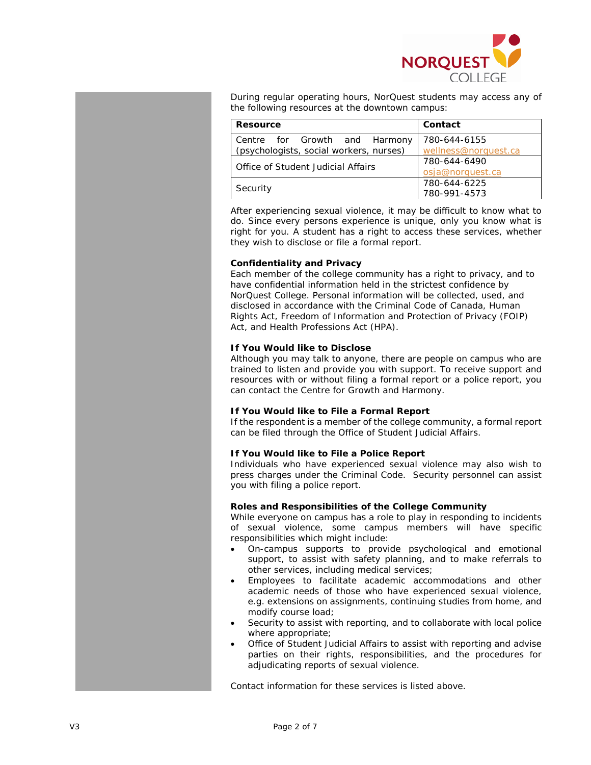

During regular operating hours, NorQuest students may access any of the following resources at the downtown campus:

| Resource                                                                 | Contact                              |
|--------------------------------------------------------------------------|--------------------------------------|
| Centre for Growth and Harmony<br>(psychologists, social workers, nurses) | 780-644-6155<br>wellness@norquest.ca |
| Office of Student Judicial Affairs                                       | 780-644-6490<br>osja@norquest.ca     |
| Security                                                                 | 780-644-6225<br>780-991-4573         |

After experiencing sexual violence, it may be difficult to know what to do. Since every persons experience is unique, only you know what is right for you. A student has a right to access these services, whether they wish to disclose or file a formal report.

### **Confidentiality and Privacy**

Each member of the college community has a right to privacy, and to have confidential information held in the strictest confidence by NorQuest College. Personal information will be collected, used, and disclosed in accordance with the *Criminal Code of Canada, Human Rights Act*, *Freedom of Information and Protection of Privacy* (FOIP) *Act*, and *Health Professions Act* (HPA).

## **If You Would like to Disclose**

Although you may talk to anyone, there are people on campus who are trained to listen and provide you with support. To receive support and resources with or without filing a formal report or a police report, you can contact the Centre for Growth and Harmony.

# **If You Would like to File a Formal Report**

If the respondent is a member of the college community, a formal report can be filed through the Office of Student Judicial Affairs.

# **If You Would like to File a Police Report**

Individuals who have experienced sexual violence may also wish to press charges under the Criminal Code. Security personnel can assist you with filing a police report.

# **Roles and Responsibilities of the College Community**

While everyone on campus has a role to play in responding to incidents of sexual violence, some campus members will have specific responsibilities which might include:

- On-campus supports to provide psychological and emotional support, to assist with safety planning, and to make referrals to other services, including medical services;
- Employees to facilitate academic accommodations and other academic needs of those who have experienced sexual violence, e.g. extensions on assignments, continuing studies from home, and modify course load;
- Security to assist with reporting, and to collaborate with local police where appropriate;
- Office of Student Judicial Affairs to assist with reporting and advise parties on their rights, responsibilities, and the procedures for adjudicating reports of sexual violence.

Contact information for these services is listed above.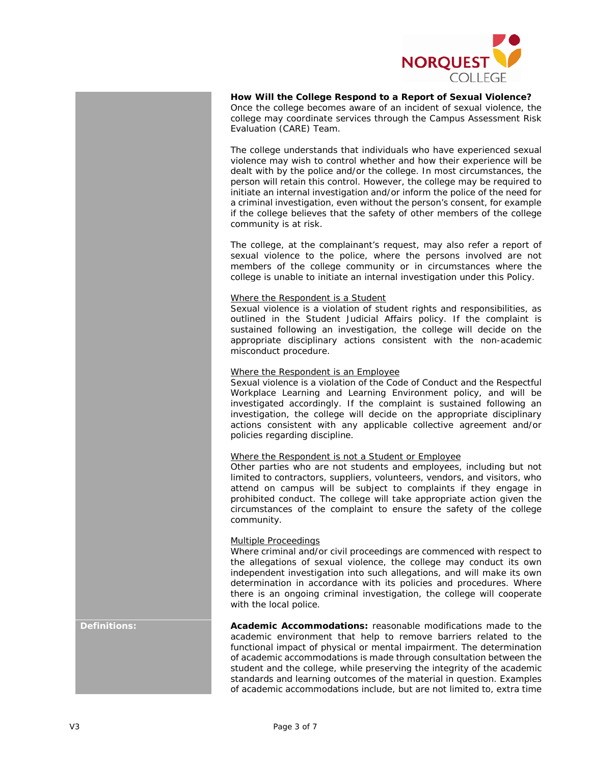

**How Will the College Respond to a Report of Sexual Violence?** Once the college becomes aware of an incident of sexual violence, the college may coordinate services through the Campus Assessment Risk Evaluation (CARE) Team.

The college understands that individuals who have experienced sexual violence may wish to control whether and how their experience will be dealt with by the police and/or the college. In most circumstances, the person will retain this control. However, the college may be required to initiate an internal investigation and/or inform the police of the need for a criminal investigation, even without the person's consent, for example if the college believes that the safety of other members of the college community is at risk.

The college, at the complainant's request, may also refer a report of sexual violence to the police, where the persons involved are not members of the college community or in circumstances where the college is unable to initiate an internal investigation under this Policy.

#### Where the Respondent is a Student

Sexual violence is a violation of student rights and responsibilities, as outlined in the Student Judicial Affairs policy. If the complaint is sustained following an investigation, the college will decide on the appropriate disciplinary actions consistent with the non-academic misconduct procedure.

### Where the Respondent is an Employee

Sexual violence is a violation of the Code of Conduct and the Respectful Workplace Learning and Learning Environment policy, and will be investigated accordingly. If the complaint is sustained following an investigation, the college will decide on the appropriate disciplinary actions consistent with any applicable collective agreement and/or policies regarding discipline.

### Where the Respondent is not a Student or Employee

Other parties who are not students and employees, including but not limited to contractors, suppliers, volunteers, vendors, and visitors, who attend on campus will be subject to complaints if they engage in prohibited conduct. The college will take appropriate action given the circumstances of the complaint to ensure the safety of the college community.

### Multiple Proceedings

Where criminal and/or civil proceedings are commenced with respect to the allegations of sexual violence, the college may conduct its own independent investigation into such allegations, and will make its own determination in accordance with its policies and procedures. Where there is an ongoing criminal investigation, the college will cooperate with the local police.

**Definitions: Academic Accommodations:** reasonable modifications made to the academic environment that help to remove barriers related to the functional impact of physical or mental impairment. The determination of academic accommodations is made through consultation between the student and the college, while preserving the integrity of the academic standards and learning outcomes of the material in question. Examples of academic accommodations include, but are not limited to, extra time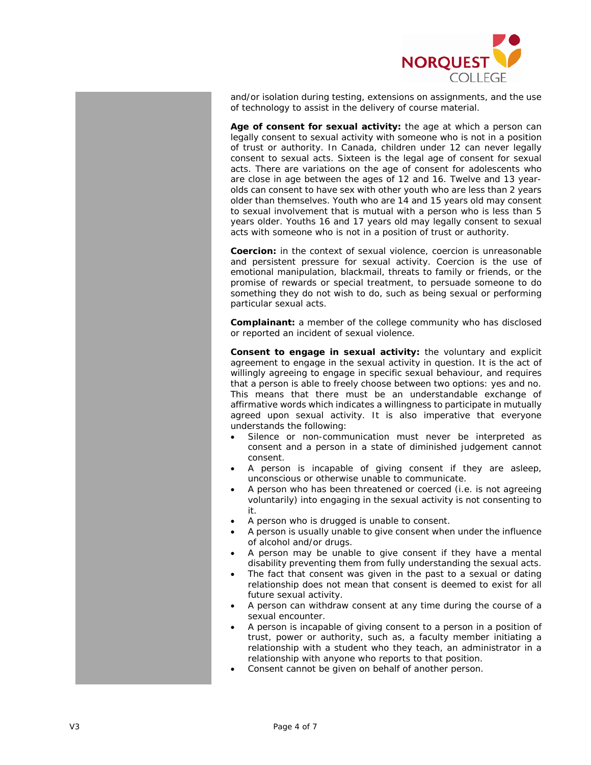

and/or isolation during testing, extensions on assignments, and the use of technology to assist in the delivery of course material.

**Age of consent for sexual activity:** the age at which a person can legally consent to sexual activity with someone who is not in a position of trust or authority. In Canada, children under 12 can never legally consent to sexual acts. Sixteen is the legal age of consent for sexual acts. There are variations on the age of consent for adolescents who are close in age between the ages of 12 and 16. Twelve and 13 yearolds can consent to have sex with other youth who are less than 2 years older than themselves. Youth who are 14 and 15 years old may consent to sexual involvement that is mutual with a person who is less than 5 years older. Youths 16 and 17 years old may legally consent to sexual acts with someone who is not in a position of trust or authority.

**Coercion:** in the context of sexual violence, coercion is unreasonable and persistent pressure for sexual activity. Coercion is the use of emotional manipulation, blackmail, threats to family or friends, or the promise of rewards or special treatment, to persuade someone to do something they do not wish to do, such as being sexual or performing particular sexual acts.

**Complainant:** a member of the college community who has disclosed or reported an incident of sexual violence.

**Consent to engage in sexual activity:** the voluntary and explicit agreement to engage in the sexual activity in question. It is the act of willingly agreeing to engage in specific sexual behaviour, and requires that a person is able to freely choose between two options: yes and no. This means that there must be an understandable exchange of affirmative words which indicates a willingness to participate in mutually agreed upon sexual activity. It is also imperative that everyone understands the following:

- Silence or non-communication must never be interpreted as consent and a person in a state of diminished judgement cannot consent.
- A person is incapable of giving consent if they are asleep, unconscious or otherwise unable to communicate.
- A person who has been threatened or coerced (i.e. is not agreeing voluntarily) into engaging in the sexual activity is not consenting to it.
- A person who is drugged is unable to consent.
- A person is usually unable to give consent when under the influence of alcohol and/or drugs.
- A person may be unable to give consent if they have a mental disability preventing them from fully understanding the sexual acts.
- The fact that consent was given in the past to a sexual or dating relationship does not mean that consent is deemed to exist for all future sexual activity.
- A person can withdraw consent at any time during the course of a sexual encounter.
- A person is incapable of giving consent to a person in a position of trust, power or authority, such as, a faculty member initiating a relationship with a student who they teach, an administrator in a relationship with anyone who reports to that position.
- Consent cannot be given on behalf of another person.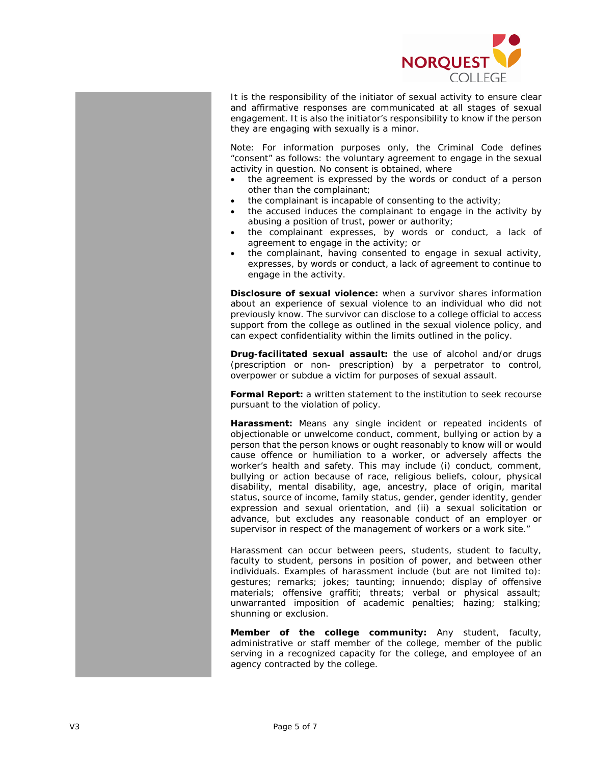

It is the responsibility of the initiator of sexual activity to ensure clear and affirmative responses are communicated at all stages of sexual engagement. It is also the initiator's responsibility to know if the person they are engaging with sexually is a minor.

Note: For information purposes only, the Criminal Code defines "consent" as follows: the voluntary agreement to engage in the sexual activity in question. No consent is obtained, where

- the agreement is expressed by the words or conduct of a person other than the complainant;
- the complainant is incapable of consenting to the activity;
- the accused induces the complainant to engage in the activity by abusing a position of trust, power or authority;
- the complainant expresses, by words or conduct, a lack of agreement to engage in the activity; or
- the complainant, having consented to engage in sexual activity, expresses, by words or conduct, a lack of agreement to continue to engage in the activity.

**Disclosure of sexual violence:** when a survivor shares information about an experience of sexual violence to an individual who did not previously know. The survivor can disclose to a college official to access support from the college as outlined in the sexual violence policy, and can expect confidentiality within the limits outlined in the policy.

**Drug-facilitated sexual assault:** the use of alcohol and/or drugs (prescription or non- prescription) by a perpetrator to control, overpower or subdue a victim for purposes of sexual assault.

**Formal Report:** a written statement to the institution to seek recourse pursuant to the violation of policy.

**Harassment:** Means any single incident or repeated incidents of objectionable or unwelcome conduct, comment, bullying or action by a person that the person knows or ought reasonably to know will or would cause offence or humiliation to a worker, or adversely affects the worker's health and safety. This may include (i) conduct, comment, bullying or action because of race, religious beliefs, colour, physical disability, mental disability, age, ancestry, place of origin, marital status, source of income, family status, gender, gender identity, gender expression and sexual orientation, and (ii) a sexual solicitation or advance, but excludes any reasonable conduct of an employer or supervisor in respect of the management of workers or a work site."

Harassment can occur between peers, students, student to faculty, faculty to student, persons in position of power, and between other individuals. Examples of harassment include (but are not limited to): gestures; remarks; jokes; taunting; innuendo; display of offensive materials; offensive graffiti; threats; verbal or physical assault; unwarranted imposition of academic penalties; hazing; stalking; shunning or exclusion.

**Member of the college community:** Any student, faculty, administrative or staff member of the college, member of the public serving in a recognized capacity for the college, and employee of an agency contracted by the college.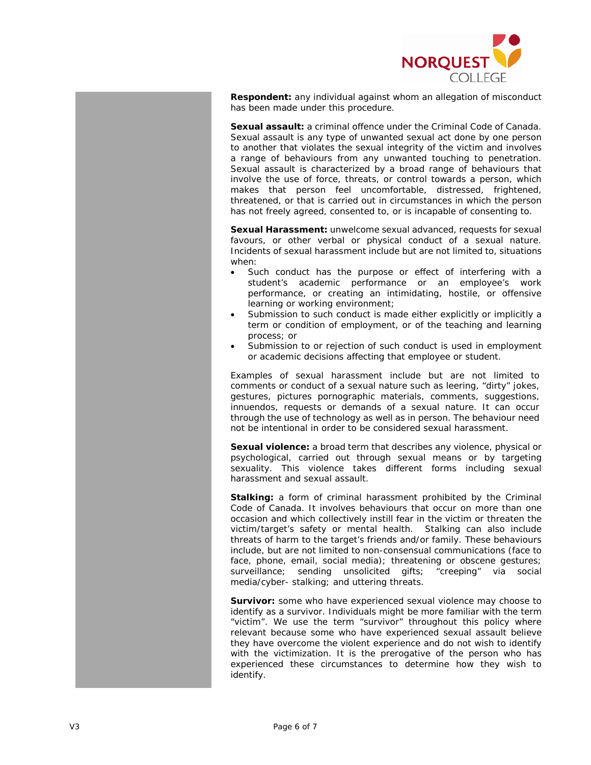

**Respondent:** any individual against whom an allegation of misconduct has been made under this procedure.

**Sexual assault:** a criminal offence under the Criminal Code of Canada. Sexual assault is any type of unwanted sexual act done by one person to another that violates the sexual integrity of the victim and involves a range of behaviours from any unwanted touching to penetration. Sexual assault is characterized by a broad range of behaviours that involve the use of force, threats, or control towards a person, which makes that person feel uncomfortable, distressed, frightened, threatened, or that is carried out in circumstances in which the person has not freely agreed, consented to, or is incapable of consenting to.

**Sexual Harassment:** unwelcome sexual advanced, requests for sexual favours, or other verbal or physical conduct of a sexual nature. Incidents of sexual harassment include but are not limited to, situations when:

- Such conduct has the purpose or effect of interfering with a student's academic performance or an employee's work performance, or creating an intimidating, hostile, or offensive learning or working environment;
- Submission to such conduct is made either explicitly or implicitly a term or condition of employment, or of the teaching and learning process; or
- Submission to or rejection of such conduct is used in employment or academic decisions affecting that employee or student.

Examples of sexual harassment include but are not limited to comments or conduct of a sexual nature such as leering, "dirty" jokes, gestures, pictures pornographic materials, comments, suggestions, innuendos, requests or demands of a sexual nature. It can occur through the use of technology as well as in person. The behaviour need not be intentional in order to be considered sexual harassment.

**Sexual violence:** a broad term that describes any violence, physical or psychological, carried out through sexual means or by targeting sexuality. This violence takes different forms including sexual harassment and sexual assault.

**Stalking:** a form of criminal harassment prohibited by the Criminal Code of Canada. It involves behaviours that occur on more than one occasion and which collectively instill fear in the victim or threaten the victim/target's safety or mental health. Stalking can also include threats of harm to the target's friends and/or family. These behaviours include, but are not limited to non-consensual communications (face to face, phone, email, social media); threatening or obscene gestures; surveillance; sending unsolicited gifts; "creeping" via social media/cyber- stalking; and uttering threats.

**Survivor:** some who have experienced sexual violence may choose to identify as a survivor. Individuals might be more familiar with the term "victim". We use the term "survivor" throughout this policy where relevant because some who have experienced sexual assault believe they have overcome the violent experience and do not wish to identify with the victimization. It is the prerogative of the person who has experienced these circumstances to determine how they wish to identify.